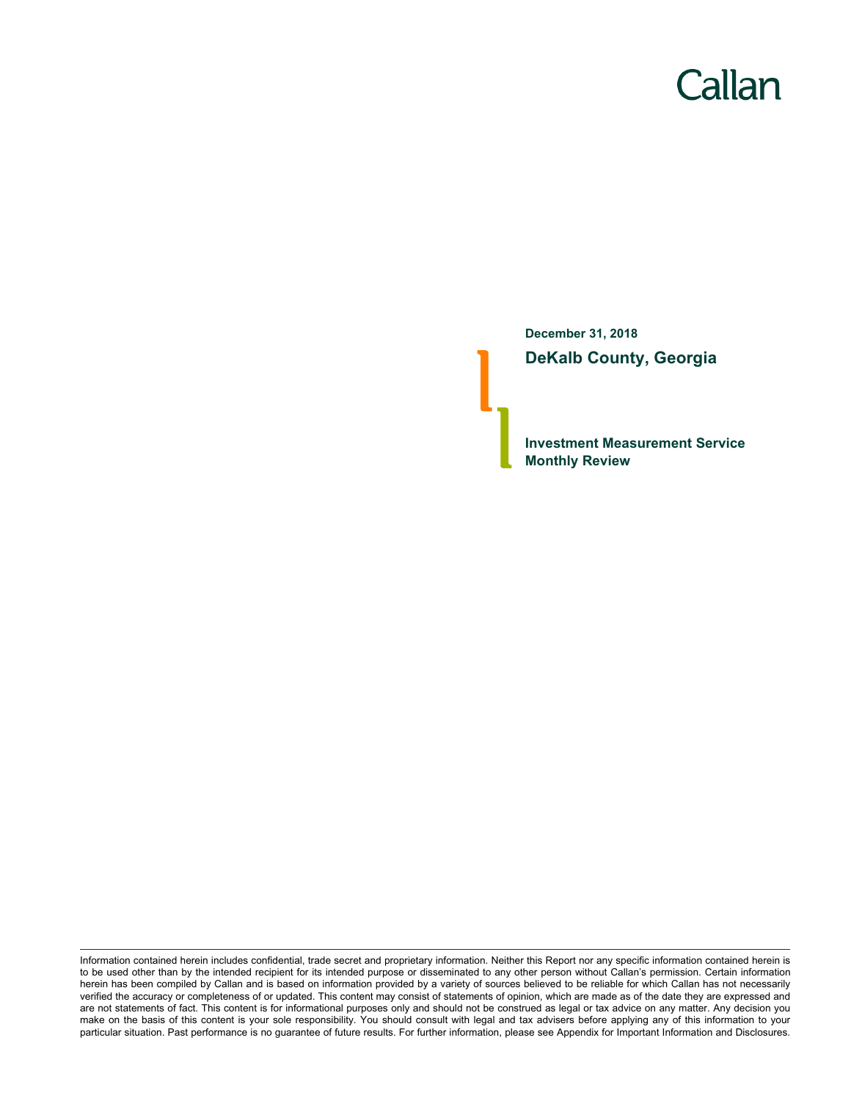# Callan

**December 31, 2018 DeKalb County, Georgia**

**Investment Measurement Service Monthly Review**

Information contained herein includes confidential, trade secret and proprietary information. Neither this Report nor any specific information contained herein is to be used other than by the intended recipient for its intended purpose or disseminated to any other person without Callan's permission. Certain information herein has been compiled by Callan and is based on information provided by a variety of sources believed to be reliable for which Callan has not necessarily verified the accuracy or completeness of or updated. This content may consist of statements of opinion, which are made as of the date they are expressed and are not statements of fact. This content is for informational purposes only and should not be construed as legal or tax advice on any matter. Any decision you make on the basis of this content is your sole responsibility. You should consult with legal and tax advisers before applying any of this information to your particular situation. Past performance is no guarantee of future results. For further information, please see Appendix for Important Information and Disclosures.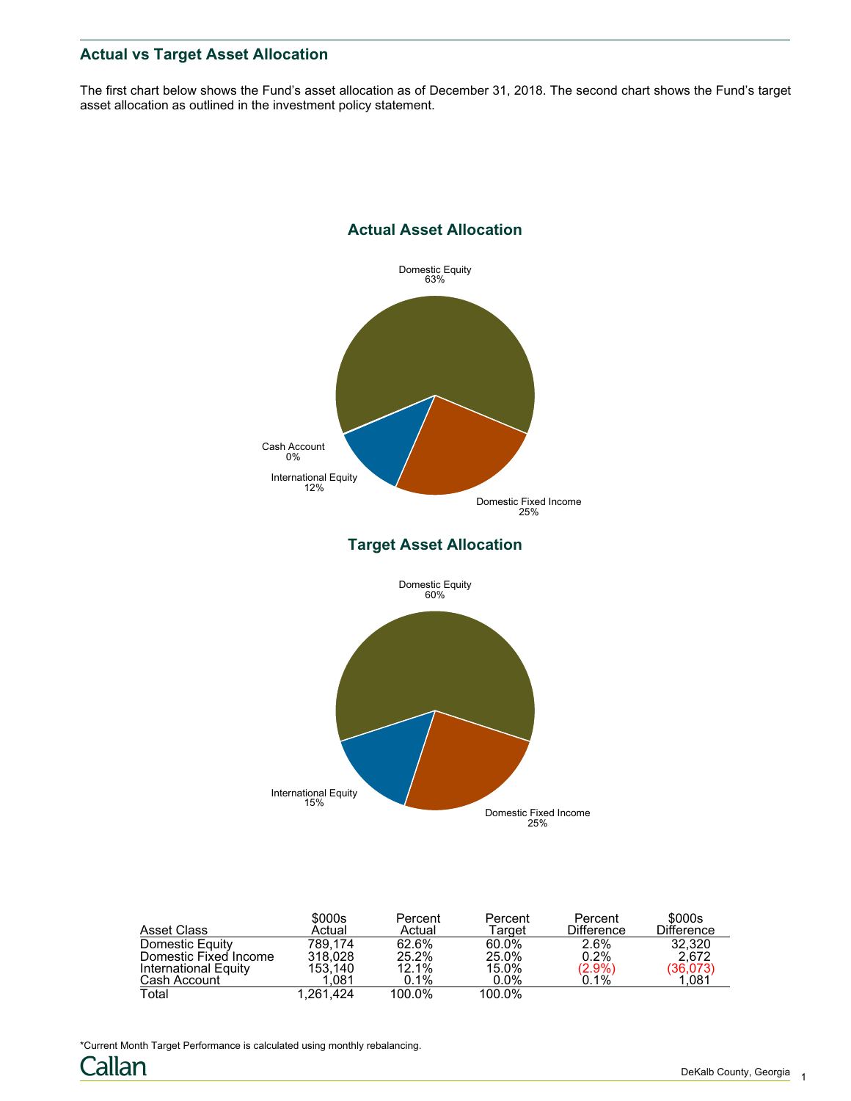## **Actual vs Target Asset Allocation**

The first chart below shows the Fund's asset allocation as of December 31, 2018. The second chart shows the Fund's target asset allocation as outlined in the investment policy statement.



| Asset Class           | \$000s<br>Actual | Percent<br>Actual | Percent<br>Target | Percent<br><b>Difference</b> | \$000s<br><b>Difference</b> |
|-----------------------|------------------|-------------------|-------------------|------------------------------|-----------------------------|
| Domestic Equity       | 789.174          | 62.6%             | 60.0%             | 2.6%                         | 32.320                      |
| Domestic Fixed Income | 318.028          | 25.2%             | 25.0%             | 0.2%                         | 2.672                       |
| International Equity  | 153.140          | 12.1%             | 15.0%             | $(2.9\%)$                    | (36,073)<br>1,081           |
| Cash Account          | 1.081            | 0.1%              | $0.0\%$           | 0.1%                         |                             |
| Total                 | 1.261.424        | 100.0%            | 100.0%            |                              |                             |

\*Current Month Target Performance is calculated using monthly rebalancing.

Callan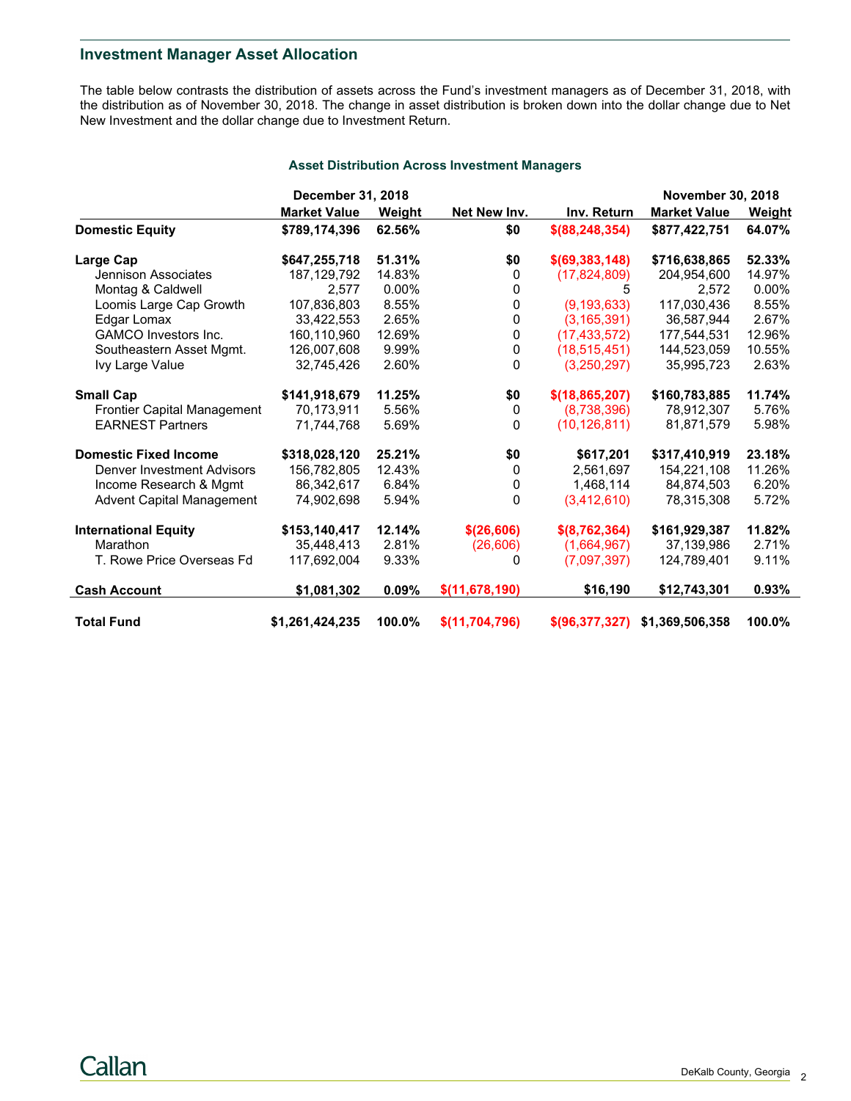## **Investment Manager Asset Allocation**

The table below contrasts the distribution of assets across the Fund's investment managers as of December 31, 2018, with the distribution as of November 30, 2018. The change in asset distribution is broken down into the dollar change due to Net New Investment and the dollar change due to Investment Return.

|                                    | December 31, 2018   |               |                  |                   | <b>November 30, 2018</b> |               |
|------------------------------------|---------------------|---------------|------------------|-------------------|--------------------------|---------------|
|                                    | <b>Market Value</b> | <b>Weight</b> | Net New Inv.     | Inv. Return       | <b>Market Value</b>      | <b>Weight</b> |
| <b>Domestic Equity</b>             | \$789,174,396       | 62.56%        | \$0              | \$ (88, 248, 354) | \$877,422,751            | 64.07%        |
| Large Cap                          | \$647,255,718       | 51.31%        | \$0              | \$ (69, 383, 148) | \$716,638,865            | 52.33%        |
| Jennison Associates                | 187, 129, 792       | 14.83%        | 0                | (17,824,809)      | 204,954,600              | 14.97%        |
| Montag & Caldwell                  | 2.577               | $0.00\%$      | 0                | 5                 | 2,572                    | $0.00\%$      |
| Loomis Large Cap Growth            | 107,836,803         | 8.55%         | 0                | (9, 193, 633)     | 117,030,436              | 8.55%         |
| Edgar Lomax                        | 33,422,553          | 2.65%         | 0                | (3, 165, 391)     | 36,587,944               | 2.67%         |
| <b>GAMCO</b> Investors Inc.        | 160,110,960         | 12.69%        | 0                | (17, 433, 572)    | 177,544,531              | 12.96%        |
| Southeastern Asset Mgmt.           | 126,007,608         | 9.99%         | 0                | (18, 515, 451)    | 144,523,059              | 10.55%        |
| Ivy Large Value                    | 32,745,426          | 2.60%         | 0                | (3,250,297)       | 35,995,723               | 2.63%         |
| <b>Small Cap</b>                   | \$141,918,679       | 11.25%        | \$0              | \$(18, 865, 207)  | \$160,783,885            | 11.74%        |
| <b>Frontier Capital Management</b> | 70,173,911          | 5.56%         | $\Omega$         | (8,738,396)       | 78,912,307               | 5.76%         |
| <b>EARNEST Partners</b>            | 71,744,768          | 5.69%         | $\Omega$         | (10, 126, 811)    | 81,871,579               | 5.98%         |
| <b>Domestic Fixed Income</b>       | \$318,028,120       | 25.21%        | \$0              | \$617,201         | \$317,410,919            | 23.18%        |
| <b>Denver Investment Advisors</b>  | 156,782,805         | 12.43%        | 0                | 2,561,697         | 154,221,108              | 11.26%        |
| Income Research & Mgmt             | 86,342,617          | 6.84%         | 0                | 1,468,114         | 84,874,503               | 6.20%         |
| <b>Advent Capital Management</b>   | 74,902,698          | 5.94%         | 0                | (3,412,610)       | 78,315,308               | 5.72%         |
| <b>International Equity</b>        | \$153,140,417       | 12.14%        | \$(26,606)       | \$(8,762,364)     | \$161,929,387            | 11.82%        |
| Marathon                           | 35,448,413          | 2.81%         | (26, 606)        | (1,664,967)       | 37,139,986               | 2.71%         |
| T. Rowe Price Overseas Fd          | 117,692,004         | 9.33%         | 0                | (7,097,397)       | 124,789,401              | 9.11%         |
| <b>Cash Account</b>                | \$1,081,302         | 0.09%         | \$(11, 678, 190) | \$16,190          | \$12,743,301             | 0.93%         |
| <b>Total Fund</b>                  | \$1,261,424,235     | 100.0%        | \$(11,704,796)   | \$ (96.377.327)   | \$1,369,506,358          | 100.0%        |

#### **Asset Distribution Across Investment Managers**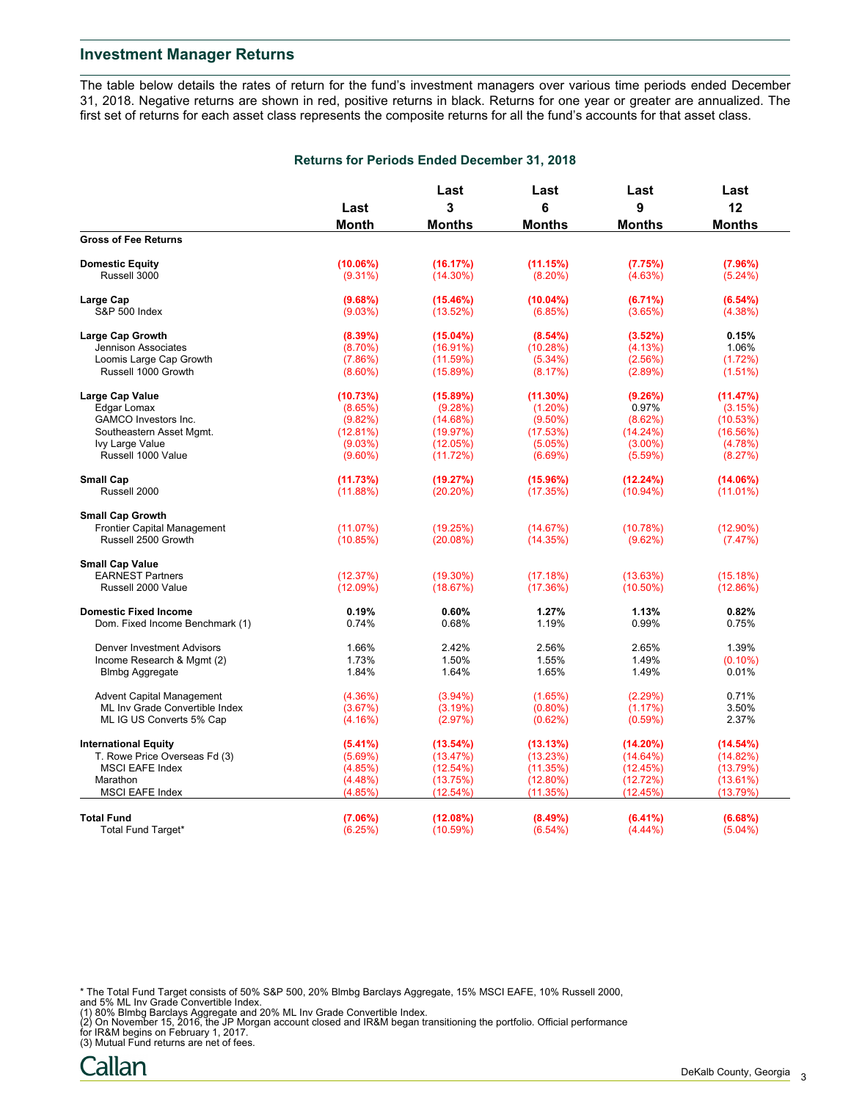The table below details the rates of return for the fund's investment managers over various time periods ended December 31, 2018. Negative returns are shown in red, positive returns in black. Returns for one year or greater are annualized. The first set of returns for each asset class represents the composite returns for all the fund's accounts for that asset class.

|                                   |            | Last<br>3     | Last<br>6     | Last          | Last          |  |
|-----------------------------------|------------|---------------|---------------|---------------|---------------|--|
|                                   | Last       |               |               | 9             | 12            |  |
|                                   | Month      | <b>Months</b> | <b>Months</b> | <b>Months</b> | <b>Months</b> |  |
| <b>Gross of Fee Returns</b>       |            |               |               |               |               |  |
| <b>Domestic Equity</b>            | (10.06%)   | (16.17%)      | (11.15%)      | (7.75%)       | (7.96%)       |  |
| Russell 3000                      | $(9.31\%)$ | $(14.30\%)$   | $(8.20\%)$    | (4.63%)       | $(5.24\%)$    |  |
| Large Cap                         | (9.68%)    | $(15.46\%)$   | $(10.04\%)$   | (6.71%)       | (6.54%)       |  |
| <b>S&amp;P 500 Index</b>          | (9.03%)    | (13.52%)      | (6.85%)       | (3.65%)       | $(4.38\%)$    |  |
| <b>Large Cap Growth</b>           | (8.39%)    | $(15.04\%)$   | $(8.54\%)$    | (3.52%)       | 0.15%         |  |
| Jennison Associates               | $(8.70\%)$ | (16.91%)      | (10.28%)      | (4.13%)       | 1.06%         |  |
| Loomis Large Cap Growth           | (7.86%)    | (11.59%)      | $(5.34\%)$    | (2.56%)       | (1.72%)       |  |
| Russell 1000 Growth               | $(8.60\%)$ | (15.89%)      | (8.17%)       | (2.89%)       | $(1.51\%)$    |  |
| Large Cap Value                   | (10.73%)   | $(15.89\%)$   | $(11.30\%)$   | (9.26%)       | (11.47%)      |  |
| Edgar Lomax                       | (8.65%)    | (9.28%)       | $(1.20\%)$    | 0.97%         | (3.15%)       |  |
| GAMCO Investors Inc.              | (9.82%)    | (14.68%)      | $(9.50\%)$    | (8.62%)       | (10.53%)      |  |
| Southeastern Asset Mgmt.          | (12.81%)   | (19.97%)      | (17.53%)      | (14.24%)      | (16.56%)      |  |
| Ivy Large Value                   | (9.03%)    | (12.05%)      | (5.05%)       | $(3.00\%)$    | (4.78%)       |  |
| Russell 1000 Value                | $(9.60\%)$ | (11.72%)      | (6.69%)       | (5.59%)       | (8.27%)       |  |
| <b>Small Cap</b>                  | (11.73%)   | (19.27%)      | (15.96%)      | (12.24%)      | (14.06%)      |  |
| Russell 2000                      | (11.88%)   | (20.20%)      | (17.35%)      | $(10.94\%)$   | (11.01%)      |  |
|                                   |            |               |               |               |               |  |
| <b>Small Cap Growth</b>           |            |               |               |               |               |  |
| Frontier Capital Management       | (11.07%)   | (19.25%)      | (14.67%)      | (10.78%)      | $(12.90\%)$   |  |
| Russell 2500 Growth               | (10.85%)   | (20.08%)      | (14.35%)      | (9.62%)       | (7.47%)       |  |
| <b>Small Cap Value</b>            |            |               |               |               |               |  |
| <b>EARNEST Partners</b>           | (12.37%)   | $(19.30\%)$   | (17.18%)      | (13.63%)      | (15.18%)      |  |
| Russell 2000 Value                | (12.09%)   | (18.67%)      | (17.36%)      | $(10.50\%)$   | (12.86%)      |  |
| <b>Domestic Fixed Income</b>      | 0.19%      | 0.60%         | 1.27%         | 1.13%         | 0.82%         |  |
| Dom. Fixed Income Benchmark (1)   | 0.74%      | 0.68%         | 1.19%         | 0.99%         | 0.75%         |  |
| <b>Denver Investment Advisors</b> | 1.66%      | 2.42%         | 2.56%         | 2.65%         | 1.39%         |  |
| Income Research & Mgmt (2)        | 1.73%      | 1.50%         | 1.55%         | 1.49%         | $(0.10\%)$    |  |
| <b>Blmbg Aggregate</b>            | 1.84%      | 1.64%         | 1.65%         | 1.49%         | 0.01%         |  |
| <b>Advent Capital Management</b>  | (4.36%)    | $(3.94\%)$    | (1.65%)       | (2.29%)       | 0.71%         |  |
| ML Inv Grade Convertible Index    | (3.67%)    | (3.19%)       | $(0.80\%)$    | (1.17%)       | 3.50%         |  |
| ML IG US Converts 5% Cap          | (4.16%)    | (2.97%)       | (0.62%)       | $(0.59\%)$    | 2.37%         |  |
| <b>International Equity</b>       | (5.41%)    | (13.54%)      | (13.13%)      | (14.20%)      | (14.54%)      |  |
|                                   |            |               |               |               |               |  |
| T. Rowe Price Overseas Fd (3)     | (5.69%)    | (13.47%)      | (13.23%)      | (14.64%)      | (14.82%)      |  |
| <b>MSCI EAFE Index</b>            | (4.85%)    | (12.54%)      | (11.35%)      | (12.45%)      | (13.79%)      |  |
| Marathon                          | $(4.48\%)$ | (13.75%)      | $(12.80\%)$   | (12.72%)      | (13.61%)      |  |
| <b>MSCI EAFE Index</b>            | (4.85%)    | (12.54%)      | (11.35%)      | (12.45%)      | (13.79%)      |  |
| <b>Total Fund</b>                 | (7.06%)    | (12.08%)      | (8.49%)       | $(6.41\%)$    | (6.68%)       |  |
| Total Fund Target*                | (6.25%)    | (10.59%)      | $(6.54\%)$    | $(4.44\%)$    | $(5.04\%)$    |  |
|                                   |            |               |               |               |               |  |

- 
- \* The Total Fund Target consists of 50% S&P 500, 20% Blmbg Barclays Aggregate, 15% MSCI EAFE, 10% Russell 2000,<br>and 5% ML Inv Grade Convertible Index.<br>(1) 80% Blmbg Barclays Aggregate and 20% ML Inv Grade Convertible Index

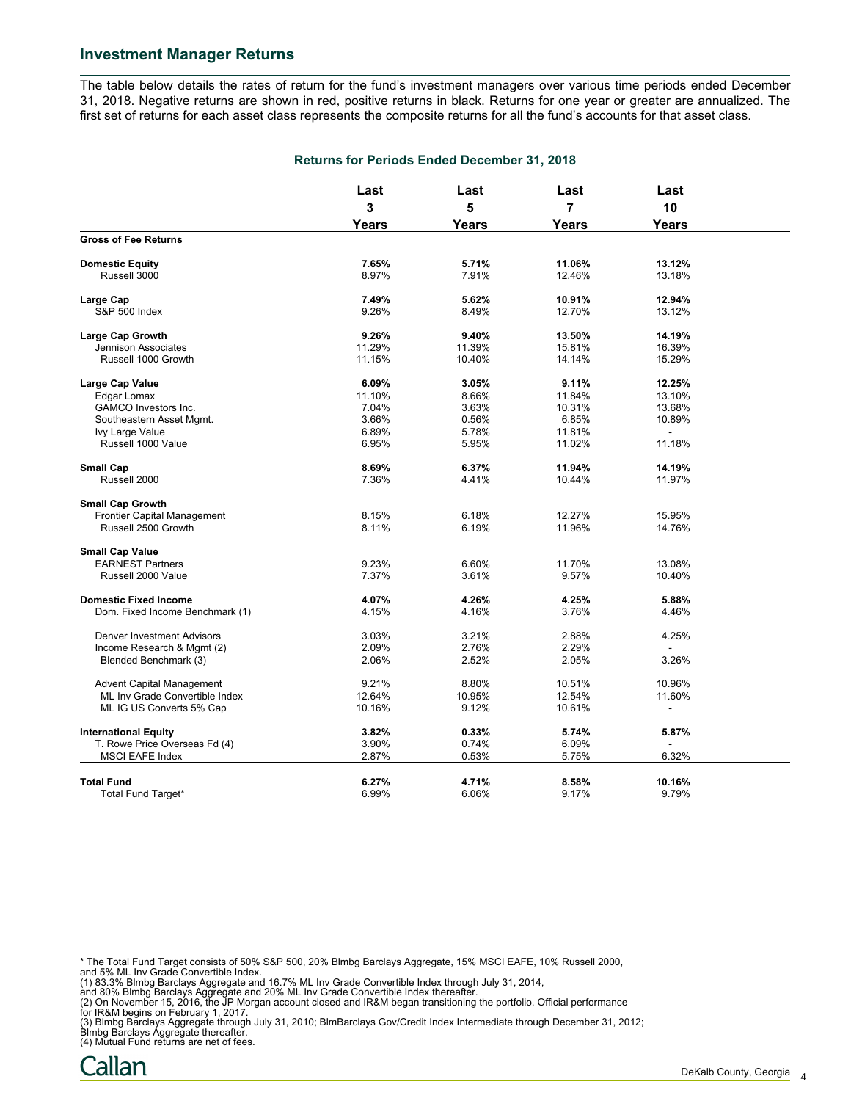The table below details the rates of return for the fund's investment managers over various time periods ended December 31, 2018. Negative returns are shown in red, positive returns in black. Returns for one year or greater are annualized. The first set of returns for each asset class represents the composite returns for all the fund's accounts for that asset class.

|                                   | Last<br>3<br><b>Years</b> | Last              | Last           | Last         |  |
|-----------------------------------|---------------------------|-------------------|----------------|--------------|--|
|                                   |                           | 5<br><b>Years</b> | $\overline{7}$ | 10           |  |
|                                   |                           |                   | <b>Years</b>   | <b>Years</b> |  |
| <b>Gross of Fee Returns</b>       |                           |                   |                |              |  |
| <b>Domestic Equity</b>            | 7.65%                     | 5.71%             | 11.06%         | 13.12%       |  |
| Russell 3000                      | 8.97%                     | 7.91%             | 12.46%         | 13.18%       |  |
| Large Cap                         | 7.49%                     | 5.62%             | 10.91%         | 12.94%       |  |
| <b>S&amp;P 500 Index</b>          | 9.26%                     | 8.49%             | 12.70%         | 13.12%       |  |
| <b>Large Cap Growth</b>           | 9.26%                     | 9.40%             | 13.50%         | 14.19%       |  |
| Jennison Associates               | 11.29%                    | 11.39%            | 15.81%         | 16.39%       |  |
| Russell 1000 Growth               | 11.15%                    | 10.40%            | 14.14%         | 15.29%       |  |
| Large Cap Value                   | 6.09%                     | 3.05%             | 9.11%          | 12.25%       |  |
| Edgar Lomax                       | 11.10%                    | 8.66%             | 11.84%         | 13.10%       |  |
| <b>GAMCO Investors Inc.</b>       | 7.04%                     | 3.63%             | 10.31%         | 13.68%       |  |
| Southeastern Asset Mgmt.          | 3.66%                     | 0.56%             | 6.85%          | 10.89%       |  |
| Ivy Large Value                   | 6.89%                     | 5.78%             | 11.81%         |              |  |
| Russell 1000 Value                | 6.95%                     | 5.95%             | 11.02%         | 11.18%       |  |
| <b>Small Cap</b>                  | 8.69%                     | 6.37%             | 11.94%         | 14.19%       |  |
| Russell 2000                      | 7.36%                     | 4.41%             | 10.44%         | 11.97%       |  |
| <b>Small Cap Growth</b>           |                           |                   |                |              |  |
| Frontier Capital Management       | 8.15%                     | 6.18%             | 12.27%         | 15.95%       |  |
| Russell 2500 Growth               | 8.11%                     | 6.19%             | 11.96%         | 14.76%       |  |
| <b>Small Cap Value</b>            |                           |                   |                |              |  |
| <b>EARNEST Partners</b>           | 9.23%                     | 6.60%             | 11.70%         | 13.08%       |  |
| Russell 2000 Value                | 7.37%                     | 3.61%             | 9.57%          | 10.40%       |  |
| <b>Domestic Fixed Income</b>      | 4.07%                     | 4.26%             | 4.25%          | 5.88%        |  |
| Dom. Fixed Income Benchmark (1)   | 4.15%                     | 4.16%             | 3.76%          | 4.46%        |  |
| <b>Denver Investment Advisors</b> | 3.03%                     | 3.21%             | 2.88%          | 4.25%        |  |
| Income Research & Mgmt (2)        | 2.09%                     | 2.76%             | 2.29%          |              |  |
| Blended Benchmark (3)             | 2.06%                     | 2.52%             | 2.05%          | 3.26%        |  |
| <b>Advent Capital Management</b>  | 9.21%                     | 8.80%             | 10.51%         | 10.96%       |  |
| ML Inv Grade Convertible Index    | 12.64%                    | 10.95%            | 12.54%         | 11.60%       |  |
| ML IG US Converts 5% Cap          | 10.16%                    | 9.12%             | 10.61%         |              |  |
| <b>International Equity</b>       | 3.82%                     | 0.33%             | 5.74%          | 5.87%        |  |
| T. Rowe Price Overseas Fd (4)     | 3.90%                     | 0.74%             | 6.09%          |              |  |
| <b>MSCI EAFE Index</b>            | 2.87%                     | 0.53%             | 5.75%          | 6.32%        |  |
| <b>Total Fund</b>                 | 6.27%                     | 4.71%             | 8.58%          | 10.16%       |  |
| Total Fund Target*                | 6.99%                     | 6.06%             | 9.17%          | 9.79%        |  |
|                                   |                           |                   |                |              |  |

**Returns for Periods Ended December 31, 2018**

\* The Total Fund Target consists of 50% S&P 500, 20% Blmbg Barclays Aggregate, 15% MSCI EAFE, 10% Russell 2000, and 5% ML Inv Grade Convertible Index.

(1) 83.3% Blmbg Barclays Aggregate and 16.7% ML Inv Grade Convertible Index through July 31, 2014,<br>and 80% Blmbg Barclays Aggregate and 20% ML Inv Grade Convertible Index thereafter.<br>(2) On November 15, 2016, the JP Morgan

(3) Blmbg Barclays Aggregate through July 31, 2010; BlmBarclays Gov/Credit Index Intermediate through December 31, 2012; Blmbg Barclays Aggregate thereafter. (4) Mutual Fund returns are net of fees.

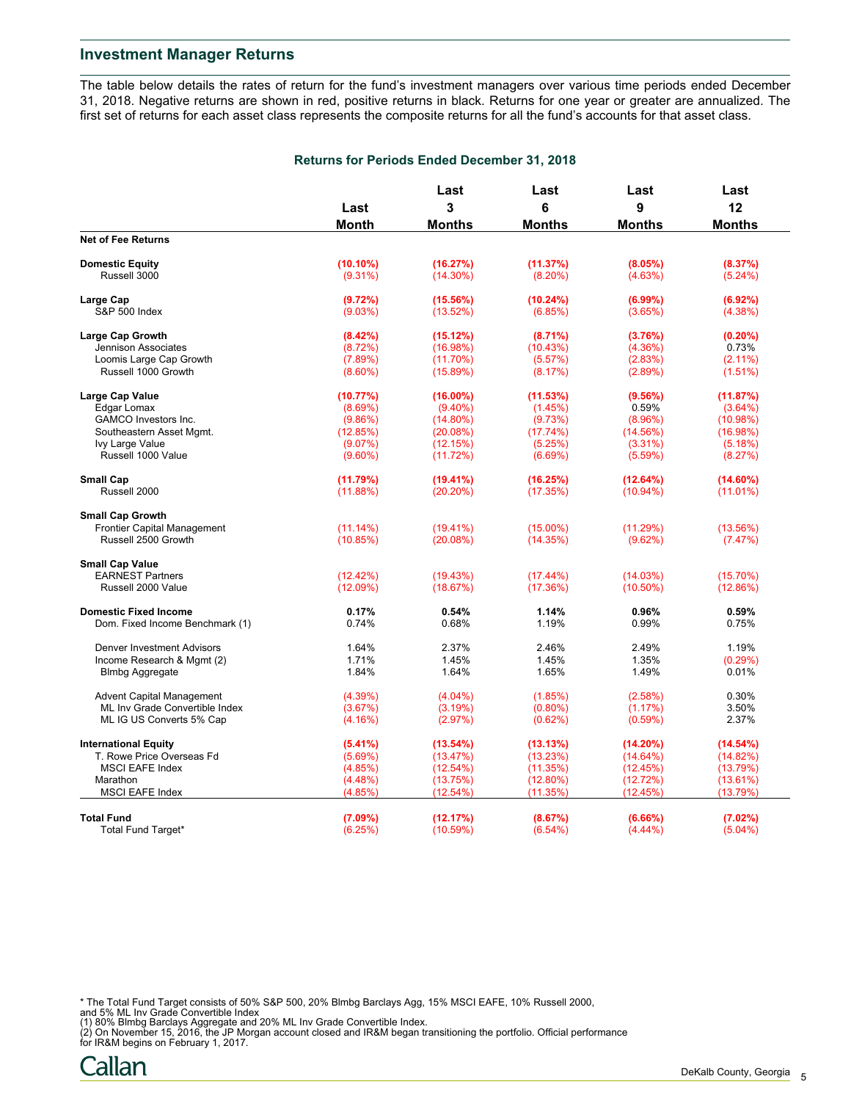The table below details the rates of return for the fund's investment managers over various time periods ended December 31, 2018. Negative returns are shown in red, positive returns in black. Returns for one year or greater are annualized. The first set of returns for each asset class represents the composite returns for all the fund's accounts for that asset class.

|                                   |                    | Last                 | Last                    | Last<br>9            | Last                    |
|-----------------------------------|--------------------|----------------------|-------------------------|----------------------|-------------------------|
|                                   | Last               | 3                    | 6                       |                      | 12                      |
|                                   | Month              | <b>Months</b>        | <b>Months</b>           | <b>Months</b>        | <b>Months</b>           |
| <b>Net of Fee Returns</b>         |                    |                      |                         |                      |                         |
| <b>Domestic Equity</b>            | $(10.10\%)$        | (16.27%)             | (11.37%)                | (8.05%)              | (8.37%)                 |
| Russell 3000                      | $(9.31\%)$         | $(14.30\%)$          | $(8.20\%)$              | (4.63%)              | $(5.24\%)$              |
| Large Cap                         | (9.72%)            | (15.56%)             | (10.24%)                | $(6.99\%)$           | (6.92%)                 |
| S&P 500 Index                     | (9.03%)            | (13.52%)             | (6.85%)                 | (3.65%)              | $(4.38\%)$              |
| Large Cap Growth                  | (8.42%)            | (15.12%)             | $(8.71\%)$              | (3.76%)              | $(0.20\%)$              |
| Jennison Associates               | (8.72%)            | (16.98%)             | (10.43%)                | $(4.36\%)$           | 0.73%                   |
| Loomis Large Cap Growth           | (7.89%)            | (11.70%)             | (5.57%)                 | (2.83%)              | $(2.11\%)$              |
| Russell 1000 Growth               | $(8.60\%)$         | (15.89%)             | (8.17%)                 | (2.89%)              | (1.51%)                 |
|                                   | (10.77%)           |                      | (11.53%)                | (9.56%)              | (11.87%)                |
| Large Cap Value                   |                    | $(16.00\%)$          |                         |                      |                         |
| Edgar Lomax                       | (8.69%)            | $(9.40\%)$           | (1.45%)                 | 0.59%                | $(3.64\%)$              |
| GAMCO Investors Inc.              | (9.86%)            | $(14.80\%)$          | (9.73%)                 | $(8.96\%)$           | (10.98%)                |
| Southeastern Asset Mgmt.          | (12.85%)           | (20.08%)             | (17.74%)                | (14.56%)             | (16.98%)                |
| Ivy Large Value                   | (9.07%)            | (12.15%)             | (5.25%)                 | $(3.31\%)$           | (5.18%)                 |
| Russell 1000 Value                | $(9.60\%)$         | (11.72%)             | (6.69%)                 | (5.59%)              | (8.27%)                 |
| <b>Small Cap</b>                  | (11.79%)           | (19.41%)             | (16.25%)                | (12.64%)             | $(14.60\%)$             |
| Russell 2000                      | (11.88%)           | (20.20%)             | (17.35%)                | $(10.94\%)$          | (11.01%)                |
| <b>Small Cap Growth</b>           |                    |                      |                         |                      |                         |
| Frontier Capital Management       | $(11.14\%)$        | $(19.41\%)$          | $(15.00\%)$             | (11.29%)             | (13.56%)                |
| Russell 2500 Growth               | (10.85%)           | (20.08%)             | (14.35%)                | (9.62%)              | (7.47%)                 |
| <b>Small Cap Value</b>            |                    |                      |                         |                      |                         |
| <b>EARNEST Partners</b>           | (12.42%)           | (19.43%)             | $(17.44\%)$             | (14.03%)             | (15.70%)                |
| Russell 2000 Value                | (12.09%)           | (18.67%)             | (17.36%)                | $(10.50\%)$          | (12.86%)                |
|                                   |                    |                      |                         |                      |                         |
| <b>Domestic Fixed Income</b>      | 0.17%              | 0.54%                | 1.14%                   | 0.96%                | 0.59%                   |
| Dom. Fixed Income Benchmark (1)   | 0.74%              | 0.68%                | 1.19%                   | 0.99%                | 0.75%                   |
| <b>Denver Investment Advisors</b> | 1.64%              | 2.37%                | 2.46%                   | 2.49%                | 1.19%                   |
| Income Research & Mgmt (2)        | 1.71%              | 1.45%                | 1.45%                   | 1.35%                | (0.29%)                 |
| <b>Blmbg Aggregate</b>            | 1.84%              | 1.64%                | 1.65%                   | 1.49%                | 0.01%                   |
| <b>Advent Capital Management</b>  | (4.39%)            | $(4.04\%)$           | (1.85%)                 | (2.58%)              | 0.30%                   |
| ML Inv Grade Convertible Index    | (3.67%)            | (3.19%)              | $(0.80\%)$              | (1.17%)              | 3.50%                   |
| ML IG US Converts 5% Cap          | (4.16%)            | (2.97%)              | (0.62%)                 | $(0.59\%)$           | 2.37%                   |
| <b>International Equity</b>       | (5.41%)            | (13.54%)             | (13.13%)                | $(14.20\%)$          | (14.54%)                |
| T. Rowe Price Overseas Fd         | (5.69%)            | (13.47%)             | (13.23%)                | $(14.64\%)$          | (14.82%)                |
| <b>MSCI EAFE Index</b>            |                    |                      |                         |                      |                         |
| Marathon                          | (4.85%)            | (12.54%)             | (11.35%)                | (12.45%)             | (13.79%)                |
| <b>MSCI EAFE Index</b>            | (4.48%)<br>(4.85%) | (13.75%)<br>(12.54%) | $(12.80\%)$<br>(11.35%) | (12.72%)<br>(12.45%) | $(13.61\%)$<br>(13.79%) |
|                                   |                    |                      |                         |                      |                         |
| <b>Total Fund</b>                 | (7.09%)            | (12.17%)             | (8.67%)                 | (6.66%)              | (7.02%)                 |
| Total Fund Target*                | (6.25%)            | (10.59%)             | $(6.54\%)$              | $(4.44\%)$           | $(5.04\%)$              |

#### **Returns for Periods Ended December 31, 2018**

\* The Total Fund Target consists of 50% S&P 500, 20% Blmbg Barclays Agg, 15% MSCI EAFE, 10% Russell 2000, and 5% ML Inv Grade Convertible Index

(1) 80% Blmbg Barclays Aggregate and 20% ML Inv Grade Convertible Index.<br>(2) On November 15, 2016, the JP Morgan account closed and IR&M began transitioning the portfolio. Official performance<br>for IR&M begins on February 1

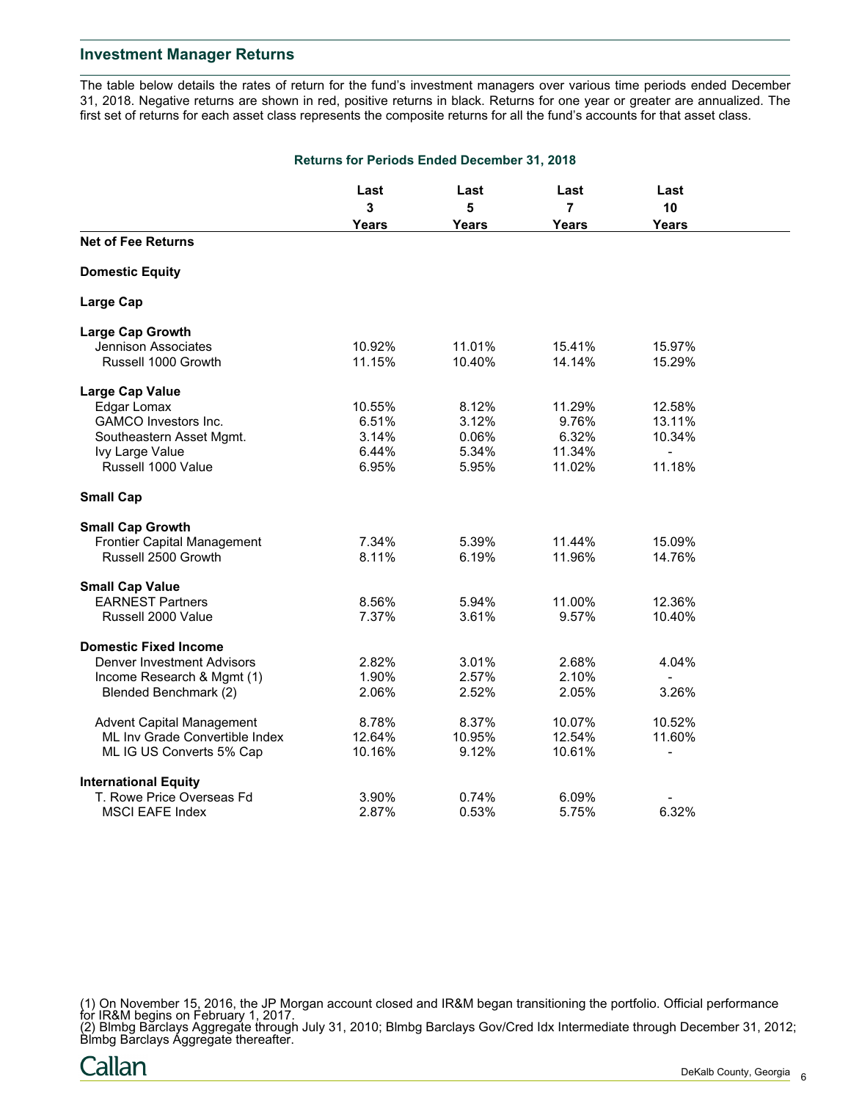The table below details the rates of return for the fund's investment managers over various time periods ended December 31, 2018. Negative returns are shown in red, positive returns in black. Returns for one year or greater are annualized. The first set of returns for each asset class represents the composite returns for all the fund's accounts for that asset class.

| <b>Returns for Periods Ended December 31, 2018</b> |                         |        |        |                          |  |
|----------------------------------------------------|-------------------------|--------|--------|--------------------------|--|
|                                                    | Last                    | Last   | Last   | Last                     |  |
|                                                    | $\overline{\mathbf{3}}$ | 5      | 7      | 10                       |  |
|                                                    | <b>Years</b>            | Years  | Years  | <b>Years</b>             |  |
| <b>Net of Fee Returns</b>                          |                         |        |        |                          |  |
| <b>Domestic Equity</b>                             |                         |        |        |                          |  |
| <b>Large Cap</b>                                   |                         |        |        |                          |  |
| <b>Large Cap Growth</b>                            |                         |        |        |                          |  |
| <b>Jennison Associates</b>                         | 10.92%                  | 11.01% | 15.41% | 15.97%                   |  |
| Russell 1000 Growth                                | 11.15%                  | 10.40% | 14.14% | 15.29%                   |  |
| <b>Large Cap Value</b>                             |                         |        |        |                          |  |
| Edgar Lomax                                        | 10.55%                  | 8.12%  | 11.29% | 12.58%                   |  |
| <b>GAMCO</b> Investors Inc.                        | 6.51%                   | 3.12%  | 9.76%  | 13.11%                   |  |
| Southeastern Asset Mgmt.                           | 3.14%                   | 0.06%  | 6.32%  | 10.34%                   |  |
| Ivy Large Value                                    | 6.44%                   | 5.34%  | 11.34% | $\overline{\phantom{a}}$ |  |
| Russell 1000 Value                                 | 6.95%                   | 5.95%  | 11.02% | 11.18%                   |  |
| <b>Small Cap</b>                                   |                         |        |        |                          |  |
| <b>Small Cap Growth</b>                            |                         |        |        |                          |  |
| <b>Frontier Capital Management</b>                 | 7.34%                   | 5.39%  | 11.44% | 15.09%                   |  |
| Russell 2500 Growth                                | 8.11%                   | 6.19%  | 11.96% | 14.76%                   |  |
| <b>Small Cap Value</b>                             |                         |        |        |                          |  |
| <b>EARNEST Partners</b>                            | 8.56%                   | 5.94%  | 11.00% | 12.36%                   |  |
| Russell 2000 Value                                 | 7.37%                   | 3.61%  | 9.57%  | 10.40%                   |  |
| <b>Domestic Fixed Income</b>                       |                         |        |        |                          |  |
| <b>Denver Investment Advisors</b>                  | 2.82%                   | 3.01%  | 2.68%  | 4.04%                    |  |
| Income Research & Mgmt (1)                         | 1.90%                   | 2.57%  | 2.10%  |                          |  |
| Blended Benchmark (2)                              | 2.06%                   | 2.52%  | 2.05%  | 3.26%                    |  |
| <b>Advent Capital Management</b>                   | 8.78%                   | 8.37%  | 10.07% | 10.52%                   |  |
| ML Inv Grade Convertible Index                     | 12.64%                  | 10.95% | 12.54% | 11.60%                   |  |
| ML IG US Converts 5% Cap                           | 10.16%                  | 9.12%  | 10.61% |                          |  |
| <b>International Equity</b>                        |                         |        |        |                          |  |
| T. Rowe Price Overseas Fd                          | 3.90%                   | 0.74%  | 6.09%  |                          |  |
| <b>MSCI EAFE Index</b>                             | 2.87%                   | 0.53%  | 5.75%  | 6.32%                    |  |

(1) On November 15, 2016, the JP Morgan account closed and IR&M began transitioning the portfolio. Official performance for IR&M begins on February 1, 2017.

(2) Blmbg Barclays Aggregate through July 31, 2010; Blmbg Barclays Gov/Cred Idx Intermediate through December 31, 2012; Blmbg Barclays Aggregate thereafter.

Callan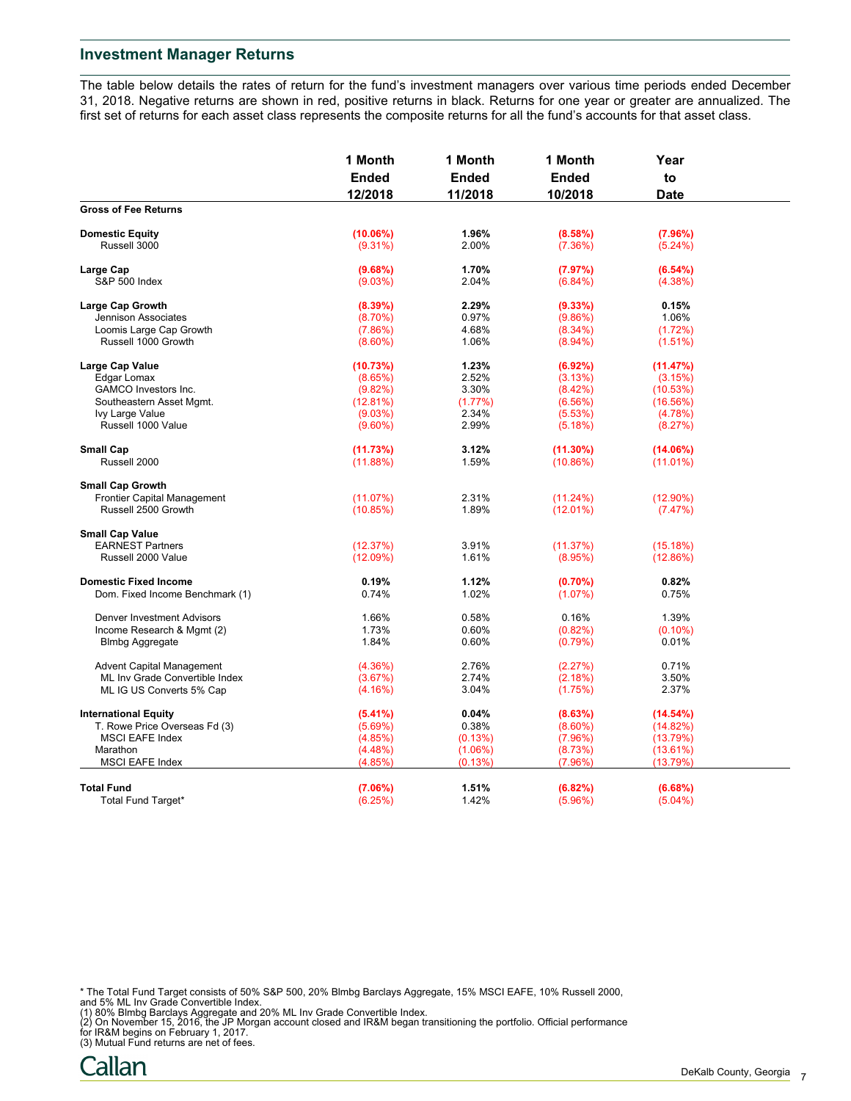The table below details the rates of return for the fund's investment managers over various time periods ended December 31, 2018. Negative returns are shown in red, positive returns in black. Returns for one year or greater are annualized. The first set of returns for each asset class represents the composite returns for all the fund's accounts for that asset class.

|                                    | 1 Month<br><b>Ended</b> | 1 Month<br><b>Ended</b> | 1 Month<br><b>Ended</b><br>10/2018 | Year        |  |
|------------------------------------|-------------------------|-------------------------|------------------------------------|-------------|--|
|                                    |                         |                         |                                    | to          |  |
|                                    | 12/2018                 | 11/2018                 |                                    | <b>Date</b> |  |
| <b>Gross of Fee Returns</b>        |                         |                         |                                    |             |  |
| <b>Domestic Equity</b>             | (10.06%)                | 1.96%                   | (8.58%)                            | (7.96%)     |  |
| Russell 3000                       | $(9.31\%)$              | 2.00%                   | (7.36%)                            | (5.24%)     |  |
| Large Cap                          | (9.68%)                 | 1.70%                   | (7.97%)                            | (6.54%)     |  |
| S&P 500 Index                      | (9.03%)                 | 2.04%                   | $(6.84\%)$                         | $(4.38\%)$  |  |
| <b>Large Cap Growth</b>            | $(8.39\%)$              | 2.29%                   | $(9.33\%)$                         | 0.15%       |  |
| Jennison Associates                | $(8.70\%)$              | 0.97%                   | (9.86%)                            | 1.06%       |  |
| Loomis Large Cap Growth            | (7.86%)                 | 4.68%                   | $(8.34\%)$                         | (1.72%)     |  |
| Russell 1000 Growth                | $(8.60\%)$              | 1.06%                   | $(8.94\%)$                         | $(1.51\%)$  |  |
| Large Cap Value                    | (10.73%)                | 1.23%                   | (6.92%)                            | (11.47%)    |  |
| Edgar Lomax                        | (8.65%)                 | 2.52%                   | (3.13%)                            | (3.15%)     |  |
| GAMCO Investors Inc.               | (9.82%)                 | 3.30%                   | (8.42%)                            | (10.53%)    |  |
| Southeastern Asset Mgmt.           | (12.81%)                | (1.77%)                 | (6.56%)                            | (16.56%)    |  |
| Ivy Large Value                    | (9.03%)                 | 2.34%                   | (5.53%)                            | (4.78%)     |  |
| Russell 1000 Value                 | $(9.60\%)$              | 2.99%                   | (5.18%)                            | (8.27%)     |  |
| <b>Small Cap</b>                   | (11.73%)                | 3.12%                   | $(11.30\%)$                        | (14.06%)    |  |
| Russell 2000                       | (11.88%)                | 1.59%                   | (10.86%)                           | (11.01%)    |  |
| <b>Small Cap Growth</b>            |                         |                         |                                    |             |  |
| <b>Frontier Capital Management</b> | (11.07%)                | 2.31%                   | $(11.24\%)$                        | $(12.90\%)$ |  |
| Russell 2500 Growth                | (10.85%)                | 1.89%                   | $(12.01\%)$                        | (7.47%)     |  |
| <b>Small Cap Value</b>             |                         |                         |                                    |             |  |
| <b>EARNEST Partners</b>            | (12.37%)                | 3.91%                   | (11.37%)                           | (15.18%)    |  |
| Russell 2000 Value                 | (12.09%)                | 1.61%                   | (8.95%)                            | (12.86%)    |  |
|                                    |                         |                         |                                    |             |  |
| <b>Domestic Fixed Income</b>       | 0.19%                   | 1.12%                   | $(0.70\%)$                         | 0.82%       |  |
| Dom. Fixed Income Benchmark (1)    | 0.74%                   | 1.02%                   | (1.07%)                            | 0.75%       |  |
| Denver Investment Advisors         | 1.66%                   | 0.58%                   | 0.16%                              | 1.39%       |  |
| Income Research & Mgmt (2)         | 1.73%                   | 0.60%                   | (0.82%)                            | $(0.10\%)$  |  |
| <b>Blmbg Aggregate</b>             | 1.84%                   | 0.60%                   | (0.79%)                            | 0.01%       |  |
| <b>Advent Capital Management</b>   | (4.36%)                 | 2.76%                   | (2.27%)                            | 0.71%       |  |
| ML Inv Grade Convertible Index     | (3.67%)                 | 2.74%                   | (2.18%)                            | 3.50%       |  |
| ML IG US Converts 5% Cap           | (4.16%)                 | 3.04%                   | (1.75%)                            | 2.37%       |  |
| <b>International Equity</b>        | $(5.41\%)$              | 0.04%                   | (8.63%)                            | (14.54%)    |  |
| T. Rowe Price Overseas Fd (3)      | $(5.69\%)$              | 0.38%                   | $(8.60\%)$                         | (14.82%)    |  |
| <b>MSCI EAFE Index</b>             | (4.85%)                 | (0.13%)                 | (7.96%)                            | (13.79%)    |  |
| Marathon                           | (4.48%)                 | $(1.06\%)$              | (8.73%)                            | (13.61%)    |  |
| <b>MSCI EAFE Index</b>             | (4.85%)                 | (0.13%)                 | (7.96%)                            | (13.79%)    |  |
| <b>Total Fund</b>                  | (7.06%)                 | 1.51%                   | (6.82%)                            | (6.68%)     |  |
| Total Fund Target*                 | (6.25%)                 | 1.42%                   | (5.96%)                            | $(5.04\%)$  |  |
|                                    |                         |                         |                                    |             |  |

- 
- \* The Total Fund Target consists of 50% S&P 500, 20% Blmbg Barclays Aggregate, 15% MSCI EAFE, 10% Russell 2000,<br>and 5% ML Inv Grade Convertible Index.<br>(1) 80% Blmbg Barclays Aggregate and 20% ML Inv Grade Convertible Index
-